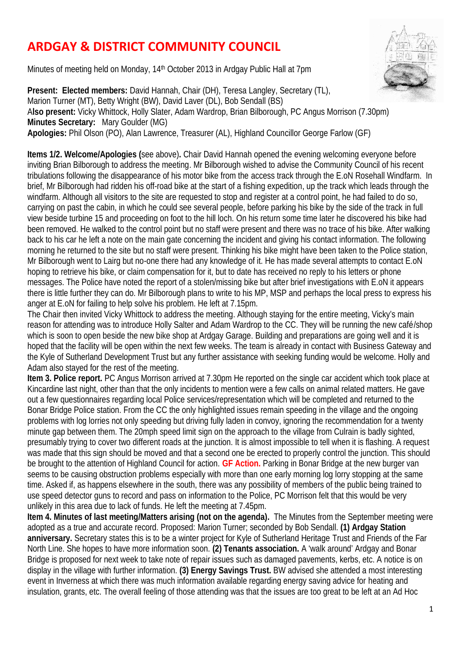## **ARDGAY & DISTRICT COMMUNITY COUNCIL**

Minutes of meeting held on Monday, 14th October 2013 in Ardgay Public Hall at 7pm



**Present: Elected members:** David Hannah, Chair (DH), Teresa Langley, Secretary (TL), Marion Turner (MT), Betty Wright (BW), David Laver (DL), Bob Sendall (BS) A**lso present:** Vicky Whittock, Holly Slater, Adam Wardrop, Brian Bilborough, PC Angus Morrison (7.30pm) **Minutes Secretary:** Mary Goulder (MG) **Apologies:** Phil Olson (PO), Alan Lawrence, Treasurer (AL), Highland Councillor George Farlow (GF)

**Items 1/2. Welcome/Apologies (**see above)**.** Chair David Hannah opened the evening welcoming everyone before inviting Brian Bilborough to address the meeting. Mr Bilborough wished to advise the Community Council of his recent tribulations following the disappearance of his motor bike from the access track through the E.oN Rosehall Windfarm. In brief, Mr Bilborough had ridden his off-road bike at the start of a fishing expedition, up the track which leads through the windfarm. Although all visitors to the site are requested to stop and register at a control point, he had failed to do so, carrying on past the cabin, in which he could see several people, before parking his bike by the side of the track in full view beside turbine 15 and proceeding on foot to the hill loch. On his return some time later he discovered his bike had been removed. He walked to the control point but no staff were present and there was no trace of his bike. After walking back to his car he left a note on the main gate concerning the incident and giving his contact information. The following morning he returned to the site but no staff were present. Thinking his bike might have been taken to the Police station, Mr Bilborough went to Lairg but no-one there had any knowledge of it. He has made several attempts to contact E.oN hoping to retrieve his bike, or claim compensation for it, but to date has received no reply to his letters or phone messages. The Police have noted the report of a stolen/missing bike but after brief investigations with E.oN it appears there is little further they can do. Mr Bilborough plans to write to his MP, MSP and perhaps the local press to express his anger at E.oN for failing to help solve his problem. He left at 7.15pm.

The Chair then invited Vicky Whittock to address the meeting. Although staying for the entire meeting, Vicky's main reason for attending was to introduce Holly Salter and Adam Wardrop to the CC. They will be running the new café/shop which is soon to open beside the new bike shop at Ardgay Garage. Building and preparations are going well and it is hoped that the facility will be open within the next few weeks. The team is already in contact with Business Gateway and the Kyle of Sutherland Development Trust but any further assistance with seeking funding would be welcome. Holly and Adam also stayed for the rest of the meeting.

**Item 3. Police report.** PC Angus Morrison arrived at 7.30pm He reported on the single car accident which took place at Kincardine last night, other than that the only incidents to mention were a few calls on animal related matters. He gave out a few questionnaires regarding local Police services/representation which will be completed and returned to the Bonar Bridge Police station. From the CC the only highlighted issues remain speeding in the village and the ongoing problems with log lorries not only speeding but driving fully laden in convoy, ignoring the recommendation for a twenty minute gap between them. The 20mph speed limit sign on the approach to the village from Culrain is badly sighted, presumably trying to cover two different roads at the junction. It is almost impossible to tell when it is flashing. A request was made that this sign should be moved and that a second one be erected to properly control the junction. This should be brought to the attention of Highland Council for action. **GF Action.** Parking in Bonar Bridge at the new burger van seems to be causing obstruction problems especially with more than one early morning log lorry stopping at the same time. Asked if, as happens elsewhere in the south, there was any possibility of members of the public being trained to use speed detector guns to record and pass on information to the Police, PC Morrison felt that this would be very unlikely in this area due to lack of funds. He left the meeting at 7.45pm.

**Item 4. Minutes of last meeting/Matters arising (not on the agenda).** The Minutes from the September meeting were adopted as a true and accurate record. Proposed: Marion Turner; seconded by Bob Sendall. **(1) Ardgay Station anniversary.** Secretary states this is to be a winter project for Kyle of Sutherland Heritage Trust and Friends of the Far North Line. She hopes to have more information soon. **(2) Tenants association.** A 'walk around' Ardgay and Bonar Bridge is proposed for next week to take note of repair issues such as damaged pavements, kerbs, etc. A notice is on display in the village with further information. **(3) Energy Savings Trust.** BW advised she attended a most interesting event in Inverness at which there was much information available regarding energy saving advice for heating and insulation, grants, etc. The overall feeling of those attending was that the issues are too great to be left at an Ad Hoc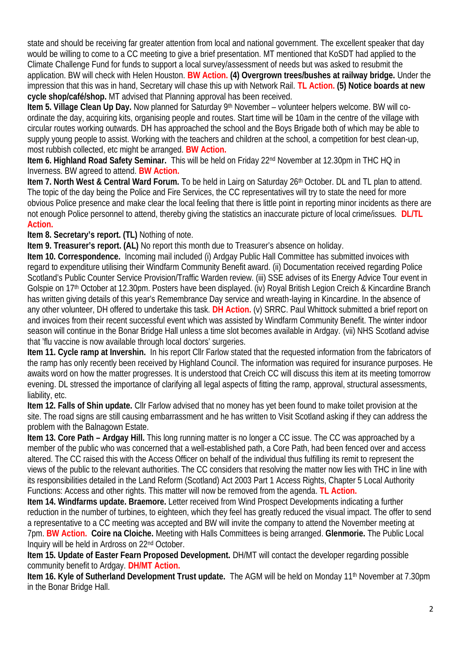state and should be receiving far greater attention from local and national government. The excellent speaker that day would be willing to come to a CC meeting to give a brief presentation. MT mentioned that KoSDT had applied to the Climate Challenge Fund for funds to support a local survey/assessment of needs but was asked to resubmit the application. BW will check with Helen Houston. **BW Action. (4) Overgrown trees/bushes at railway bridge.** Under the impression that this was in hand, Secretary will chase this up with Network Rail. **TL Action. (5) Notice boards at new cycle shop/café/shop.** MT advised that Planning approval has been received.

**Item 5. Village Clean Up Day.** Now planned for Saturday 9th November – volunteer helpers welcome. BW will coordinate the day, acquiring kits, organising people and routes. Start time will be 10am in the centre of the village with circular routes working outwards. DH has approached the school and the Boys Brigade both of which may be able to supply young people to assist. Working with the teachers and children at the school, a competition for best clean-up, most rubbish collected, etc might be arranged. **BW Action.**

**Item 6. Highland Road Safety Seminar.** This will be held on Friday 22nd November at 12.30pm in THC HQ in Inverness. BW agreed to attend. **BW Action.**

**Item 7. North West & Central Ward Forum.** To be held in Lairg on Saturday 26th October. DL and TL plan to attend. The topic of the day being the Police and Fire Services, the CC representatives will try to state the need for more obvious Police presence and make clear the local feeling that there is little point in reporting minor incidents as there are not enough Police personnel to attend, thereby giving the statistics an inaccurate picture of local crime/issues. **DL/TL Action.**

**Item 8. Secretary's report. (TL)** Nothing of note.

**Item 9. Treasurer's report. (AL)** No report this month due to Treasurer's absence on holiday.

**Item 10. Correspondence.** Incoming mail included (i) Ardgay Public Hall Committee has submitted invoices with regard to expenditure utilising their Windfarm Community Benefit award. (ii) Documentation received regarding Police Scotland's Public Counter Service Provision/Traffic Warden review. (iii) SSE advises of its Energy Advice Tour event in Golspie on 17th October at 12.30pm. Posters have been displayed. (iv) Royal British Legion Creich & Kincardine Branch has written giving details of this year's Remembrance Day service and wreath-laying in Kincardine. In the absence of any other volunteer, DH offered to undertake this task. **DH Action.** (v) SRRC. Paul Whittock submitted a brief report on and invoices from their recent successful event which was assisted by Windfarm Community Benefit. The winter indoor season will continue in the Bonar Bridge Hall unless a time slot becomes available in Ardgay. (vii) NHS Scotland advise that 'flu vaccine is now available through local doctors' surgeries.

**Item 11. Cycle ramp at Invershin.** In his report Cllr Farlow stated that the requested information from the fabricators of the ramp has only recently been received by Highland Council. The information was required for insurance purposes. He awaits word on how the matter progresses. It is understood that Creich CC will discuss this item at its meeting tomorrow evening. DL stressed the importance of clarifying all legal aspects of fitting the ramp, approval, structural assessments, liability, etc.

**Item 12. Falls of Shin update.** Cllr Farlow advised that no money has yet been found to make toilet provision at the site. The road signs are still causing embarrassment and he has written to Visit Scotland asking if they can address the problem with the Balnagown Estate.

**Item 13. Core Path – Ardgay Hill.** This long running matter is no longer a CC issue. The CC was approached by a member of the public who was concerned that a well-established path, a Core Path, had been fenced over and access altered. The CC raised this with the Access Officer on behalf of the individual thus fulfilling its remit to represent the views of the public to the relevant authorities. The CC considers that resolving the matter now lies with THC in line with its responsibilities detailed in the Land Reform (Scotland) Act 2003 Part 1 Access Rights, Chapter 5 Local Authority Functions: Access and other rights. This matter will now be removed from the agenda. **TL Action.**

**Item 14. Windfarms update. Braemore.** Letter received from Wind Prospect Developments indicating a further reduction in the number of turbines, to eighteen, which they feel has greatly reduced the visual impact. The offer to send a representative to a CC meeting was accepted and BW will invite the company to attend the November meeting at 7pm. **BW Action. Coire na Cloiche.** Meeting with Halls Committees is being arranged. **Glenmorie.** The Public Local Inquiry will be held in Ardross on 22nd October.

**Item 15. Update of Easter Fearn Proposed Development. DH/MT will contact the developer regarding possible** community benefit to Ardgay. **DH/MT Action.**

**Item 16. Kyle of Sutherland Development Trust update.** The AGM will be held on Monday 11<sup>th</sup> November at 7.30pm in the Bonar Bridge Hall.